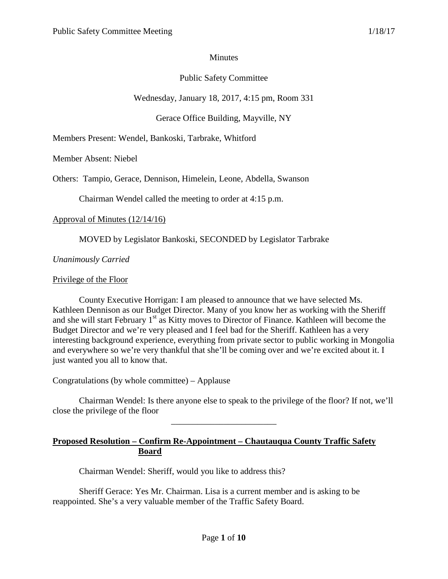## **Minutes**

# Public Safety Committee

Wednesday, January 18, 2017, 4:15 pm, Room 331

Gerace Office Building, Mayville, NY

Members Present: Wendel, Bankoski, Tarbrake, Whitford

Member Absent: Niebel

Others: Tampio, Gerace, Dennison, Himelein, Leone, Abdella, Swanson

Chairman Wendel called the meeting to order at 4:15 p.m.

#### Approval of Minutes (12/14/16)

MOVED by Legislator Bankoski, SECONDED by Legislator Tarbrake

*Unanimously Carried*

#### Privilege of the Floor

County Executive Horrigan: I am pleased to announce that we have selected Ms. Kathleen Dennison as our Budget Director. Many of you know her as working with the Sheriff and she will start February 1<sup>st</sup> as Kitty moves to Director of Finance. Kathleen will become the Budget Director and we're very pleased and I feel bad for the Sheriff. Kathleen has a very interesting background experience, everything from private sector to public working in Mongolia and everywhere so we're very thankful that she'll be coming over and we're excited about it. I just wanted you all to know that.

Congratulations (by whole committee) – Applause

Chairman Wendel: Is there anyone else to speak to the privilege of the floor? If not, we'll close the privilege of the floor

\_\_\_\_\_\_\_\_\_\_\_\_\_\_\_\_\_\_\_\_\_\_\_\_

**Proposed Resolution – Confirm Re-Appointment – Chautauqua County Traffic Safety Board**

Chairman Wendel: Sheriff, would you like to address this?

Sheriff Gerace: Yes Mr. Chairman. Lisa is a current member and is asking to be reappointed. She's a very valuable member of the Traffic Safety Board.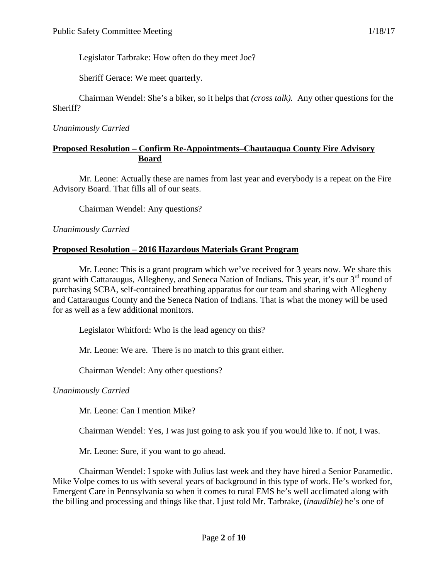Legislator Tarbrake: How often do they meet Joe?

Sheriff Gerace: We meet quarterly.

Chairman Wendel: She's a biker, so it helps that *(cross talk).* Any other questions for the Sheriff?

#### *Unanimously Carried*

## **Proposed Resolution – Confirm Re-Appointments–Chautauqua County Fire Advisory Board**

Mr. Leone: Actually these are names from last year and everybody is a repeat on the Fire Advisory Board. That fills all of our seats.

Chairman Wendel: Any questions?

#### *Unanimously Carried*

## **Proposed Resolution – 2016 Hazardous Materials Grant Program**

Mr. Leone: This is a grant program which we've received for 3 years now. We share this grant with Cattaraugus, Allegheny, and Seneca Nation of Indians. This year, it's our  $3<sup>rd</sup>$  round of purchasing SCBA, self-contained breathing apparatus for our team and sharing with Allegheny and Cattaraugus County and the Seneca Nation of Indians. That is what the money will be used for as well as a few additional monitors.

Legislator Whitford: Who is the lead agency on this?

Mr. Leone: We are. There is no match to this grant either.

Chairman Wendel: Any other questions?

*Unanimously Carried*

Mr. Leone: Can I mention Mike?

Chairman Wendel: Yes, I was just going to ask you if you would like to. If not, I was.

Mr. Leone: Sure, if you want to go ahead.

Chairman Wendel: I spoke with Julius last week and they have hired a Senior Paramedic. Mike Volpe comes to us with several years of background in this type of work. He's worked for, Emergent Care in Pennsylvania so when it comes to rural EMS he's well acclimated along with the billing and processing and things like that. I just told Mr. Tarbrake, (*inaudible)* he's one of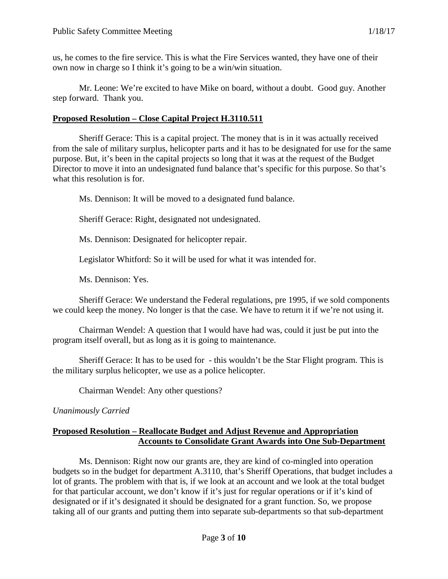us, he comes to the fire service. This is what the Fire Services wanted, they have one of their own now in charge so I think it's going to be a win/win situation.

Mr. Leone: We're excited to have Mike on board, without a doubt. Good guy. Another step forward. Thank you.

# **Proposed Resolution – Close Capital Project H.3110.511**

Sheriff Gerace: This is a capital project. The money that is in it was actually received from the sale of military surplus, helicopter parts and it has to be designated for use for the same purpose. But, it's been in the capital projects so long that it was at the request of the Budget Director to move it into an undesignated fund balance that's specific for this purpose. So that's what this resolution is for.

Ms. Dennison: It will be moved to a designated fund balance.

Sheriff Gerace: Right, designated not undesignated.

Ms. Dennison: Designated for helicopter repair.

Legislator Whitford: So it will be used for what it was intended for.

Ms. Dennison: Yes.

Sheriff Gerace: We understand the Federal regulations, pre 1995, if we sold components we could keep the money. No longer is that the case. We have to return it if we're not using it.

Chairman Wendel: A question that I would have had was, could it just be put into the program itself overall, but as long as it is going to maintenance.

Sheriff Gerace: It has to be used for - this wouldn't be the Star Flight program. This is the military surplus helicopter, we use as a police helicopter.

Chairman Wendel: Any other questions?

## *Unanimously Carried*

# **Proposed Resolution – Reallocate Budget and Adjust Revenue and Appropriation Accounts to Consolidate Grant Awards into One Sub-Department**

Ms. Dennison: Right now our grants are, they are kind of co-mingled into operation budgets so in the budget for department A.3110, that's Sheriff Operations, that budget includes a lot of grants. The problem with that is, if we look at an account and we look at the total budget for that particular account, we don't know if it's just for regular operations or if it's kind of designated or if it's designated it should be designated for a grant function. So, we propose taking all of our grants and putting them into separate sub-departments so that sub-department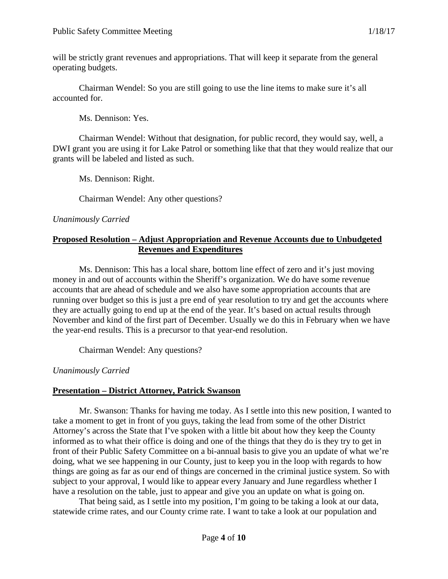will be strictly grant revenues and appropriations. That will keep it separate from the general operating budgets.

Chairman Wendel: So you are still going to use the line items to make sure it's all accounted for.

Ms. Dennison: Yes.

Chairman Wendel: Without that designation, for public record, they would say, well, a DWI grant you are using it for Lake Patrol or something like that that they would realize that our grants will be labeled and listed as such.

Ms. Dennison: Right.

Chairman Wendel: Any other questions?

## *Unanimously Carried*

# **Proposed Resolution – Adjust Appropriation and Revenue Accounts due to Unbudgeted Revenues and Expenditures**

Ms. Dennison: This has a local share, bottom line effect of zero and it's just moving money in and out of accounts within the Sheriff's organization. We do have some revenue accounts that are ahead of schedule and we also have some appropriation accounts that are running over budget so this is just a pre end of year resolution to try and get the accounts where they are actually going to end up at the end of the year. It's based on actual results through November and kind of the first part of December. Usually we do this in February when we have the year-end results. This is a precursor to that year-end resolution.

Chairman Wendel: Any questions?

## *Unanimously Carried*

## **Presentation – District Attorney, Patrick Swanson**

Mr. Swanson: Thanks for having me today. As I settle into this new position, I wanted to take a moment to get in front of you guys, taking the lead from some of the other District Attorney's across the State that I've spoken with a little bit about how they keep the County informed as to what their office is doing and one of the things that they do is they try to get in front of their Public Safety Committee on a bi-annual basis to give you an update of what we're doing, what we see happening in our County, just to keep you in the loop with regards to how things are going as far as our end of things are concerned in the criminal justice system. So with subject to your approval, I would like to appear every January and June regardless whether I have a resolution on the table, just to appear and give you an update on what is going on.

That being said, as I settle into my position, I'm going to be taking a look at our data, statewide crime rates, and our County crime rate. I want to take a look at our population and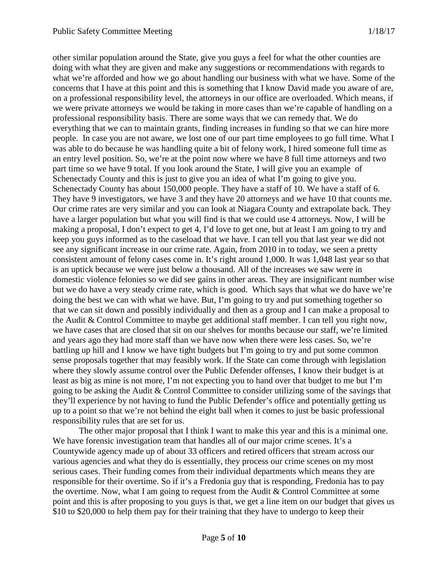other similar population around the State, give you guys a feel for what the other counties are doing with what they are given and make any suggestions or recommendations with regards to what we're afforded and how we go about handling our business with what we have. Some of the concerns that I have at this point and this is something that I know David made you aware of are, on a professional responsibility level, the attorneys in our office are overloaded. Which means, if we were private attorneys we would be taking in more cases than we're capable of handling on a professional responsibility basis. There are some ways that we can remedy that. We do everything that we can to maintain grants, finding increases in funding so that we can hire more people. In case you are not aware, we lost one of our part time employees to go full time. What I was able to do because he was handling quite a bit of felony work, I hired someone full time as an entry level position. So, we're at the point now where we have 8 full time attorneys and two part time so we have 9 total. If you look around the State, I will give you an example of Schenectady County and this is just to give you an idea of what I'm going to give you. Schenectady County has about 150,000 people. They have a staff of 10. We have a staff of 6. They have 9 investigators, we have 3 and they have 20 attorneys and we have 10 that counts me. Our crime rates are very similar and you can look at Niagara County and extrapolate back. They have a larger population but what you will find is that we could use 4 attorneys. Now, I will be making a proposal, I don't expect to get 4, I'd love to get one, but at least I am going to try and keep you guys informed as to the caseload that we have. I can tell you that last year we did not see any significant increase in our crime rate. Again, from 2010 in to today, we seen a pretty consistent amount of felony cases come in. It's right around 1,000. It was 1,048 last year so that is an uptick because we were just below a thousand. All of the increases we saw were in domestic violence felonies so we did see gains in other areas. They are insignificant number wise but we do have a very steady crime rate, which is good. Which says that what we do have we're doing the best we can with what we have. But, I'm going to try and put something together so that we can sit down and possibly individually and then as a group and I can make a proposal to the Audit & Control Committee to maybe get additional staff member. I can tell you right now, we have cases that are closed that sit on our shelves for months because our staff, we're limited and years ago they had more staff than we have now when there were less cases. So, we're battling up hill and I know we have tight budgets but I'm going to try and put some common sense proposals together that may feasibly work. If the State can come through with legislation where they slowly assume control over the Public Defender offenses, I know their budget is at least as big as mine is not more, I'm not expecting you to hand over that budget to me but I'm going to be asking the Audit & Control Committee to consider utilizing some of the savings that they'll experience by not having to fund the Public Defender's office and potentially getting us up to a point so that we're not behind the eight ball when it comes to just be basic professional responsibility rules that are set for us.

The other major proposal that I think I want to make this year and this is a minimal one. We have forensic investigation team that handles all of our major crime scenes. It's a Countywide agency made up of about 33 officers and retired officers that stream across our various agencies and what they do is essentially, they process our crime scenes on my most serious cases. Their funding comes from their individual departments which means they are responsible for their overtime. So if it's a Fredonia guy that is responding, Fredonia has to pay the overtime. Now, what I am going to request from the Audit & Control Committee at some point and this is after proposing to you guys is that, we get a line item on our budget that gives us \$10 to \$20,000 to help them pay for their training that they have to undergo to keep their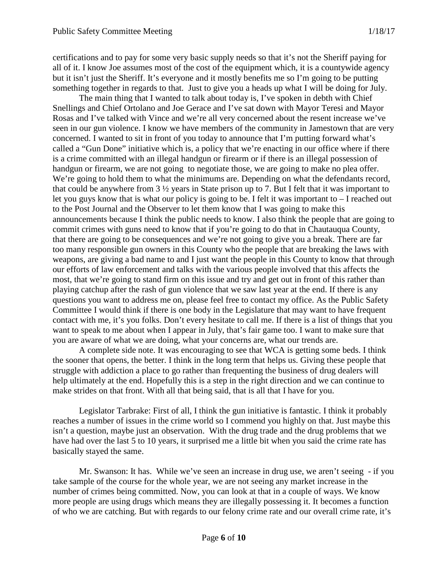certifications and to pay for some very basic supply needs so that it's not the Sheriff paying for all of it. I know Joe assumes most of the cost of the equipment which, it is a countywide agency but it isn't just the Sheriff. It's everyone and it mostly benefits me so I'm going to be putting something together in regards to that. Just to give you a heads up what I will be doing for July.

The main thing that I wanted to talk about today is, I've spoken in debth with Chief Snellings and Chief Ortolano and Joe Gerace and I've sat down with Mayor Teresi and Mayor Rosas and I've talked with Vince and we're all very concerned about the resent increase we've seen in our gun violence. I know we have members of the community in Jamestown that are very concerned. I wanted to sit in front of you today to announce that I'm putting forward what's called a "Gun Done" initiative which is, a policy that we're enacting in our office where if there is a crime committed with an illegal handgun or firearm or if there is an illegal possession of handgun or firearm, we are not going to negotiate those, we are going to make no plea offer. We're going to hold them to what the minimums are. Depending on what the defendants record, that could be anywhere from 3 ½ years in State prison up to 7. But I felt that it was important to let you guys know that is what our policy is going to be. I felt it was important to – I reached out to the Post Journal and the Observer to let them know that I was going to make this announcements because I think the public needs to know. I also think the people that are going to commit crimes with guns need to know that if you're going to do that in Chautauqua County, that there are going to be consequences and we're not going to give you a break. There are far too many responsible gun owners in this County who the people that are breaking the laws with weapons, are giving a bad name to and I just want the people in this County to know that through our efforts of law enforcement and talks with the various people involved that this affects the most, that we're going to stand firm on this issue and try and get out in front of this rather than playing catchup after the rash of gun violence that we saw last year at the end. If there is any questions you want to address me on, please feel free to contact my office. As the Public Safety Committee I would think if there is one body in the Legislature that may want to have frequent contact with me, it's you folks. Don't every hesitate to call me. If there is a list of things that you want to speak to me about when I appear in July, that's fair game too. I want to make sure that you are aware of what we are doing, what your concerns are, what our trends are.

A complete side note. It was encouraging to see that WCA is getting some beds. I think the sooner that opens, the better. I think in the long term that helps us. Giving these people that struggle with addiction a place to go rather than frequenting the business of drug dealers will help ultimately at the end. Hopefully this is a step in the right direction and we can continue to make strides on that front. With all that being said, that is all that I have for you.

Legislator Tarbrake: First of all, I think the gun initiative is fantastic. I think it probably reaches a number of issues in the crime world so I commend you highly on that. Just maybe this isn't a question, maybe just an observation. With the drug trade and the drug problems that we have had over the last 5 to 10 years, it surprised me a little bit when you said the crime rate has basically stayed the same.

Mr. Swanson: It has. While we've seen an increase in drug use, we aren't seeing - if you take sample of the course for the whole year, we are not seeing any market increase in the number of crimes being committed. Now, you can look at that in a couple of ways. We know more people are using drugs which means they are illegally possessing it. It becomes a function of who we are catching. But with regards to our felony crime rate and our overall crime rate, it's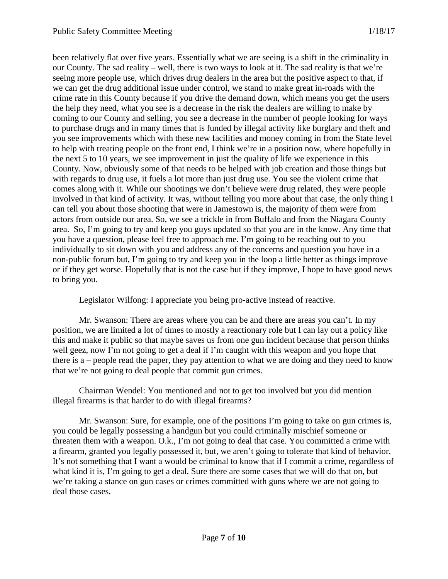been relatively flat over five years. Essentially what we are seeing is a shift in the criminality in our County. The sad reality – well, there is two ways to look at it. The sad reality is that we're seeing more people use, which drives drug dealers in the area but the positive aspect to that, if we can get the drug additional issue under control, we stand to make great in-roads with the crime rate in this County because if you drive the demand down, which means you get the users the help they need, what you see is a decrease in the risk the dealers are willing to make by coming to our County and selling, you see a decrease in the number of people looking for ways to purchase drugs and in many times that is funded by illegal activity like burglary and theft and you see improvements which with these new facilities and money coming in from the State level to help with treating people on the front end, I think we're in a position now, where hopefully in the next 5 to 10 years, we see improvement in just the quality of life we experience in this County. Now, obviously some of that needs to be helped with job creation and those things but with regards to drug use, it fuels a lot more than just drug use. You see the violent crime that comes along with it. While our shootings we don't believe were drug related, they were people involved in that kind of activity. It was, without telling you more about that case, the only thing I can tell you about those shooting that were in Jamestown is, the majority of them were from actors from outside our area. So, we see a trickle in from Buffalo and from the Niagara County area. So, I'm going to try and keep you guys updated so that you are in the know. Any time that you have a question, please feel free to approach me. I'm going to be reaching out to you individually to sit down with you and address any of the concerns and question you have in a non-public forum but, I'm going to try and keep you in the loop a little better as things improve or if they get worse. Hopefully that is not the case but if they improve, I hope to have good news to bring you.

Legislator Wilfong: I appreciate you being pro-active instead of reactive.

Mr. Swanson: There are areas where you can be and there are areas you can't. In my position, we are limited a lot of times to mostly a reactionary role but I can lay out a policy like this and make it public so that maybe saves us from one gun incident because that person thinks well geez, now I'm not going to get a deal if I'm caught with this weapon and you hope that there is a – people read the paper, they pay attention to what we are doing and they need to know that we're not going to deal people that commit gun crimes.

Chairman Wendel: You mentioned and not to get too involved but you did mention illegal firearms is that harder to do with illegal firearms?

Mr. Swanson: Sure, for example, one of the positions I'm going to take on gun crimes is, you could be legally possessing a handgun but you could criminally mischief someone or threaten them with a weapon. O.k., I'm not going to deal that case. You committed a crime with a firearm, granted you legally possessed it, but, we aren't going to tolerate that kind of behavior. It's not something that I want a would be criminal to know that if I commit a crime, regardless of what kind it is, I'm going to get a deal. Sure there are some cases that we will do that on, but we're taking a stance on gun cases or crimes committed with guns where we are not going to deal those cases.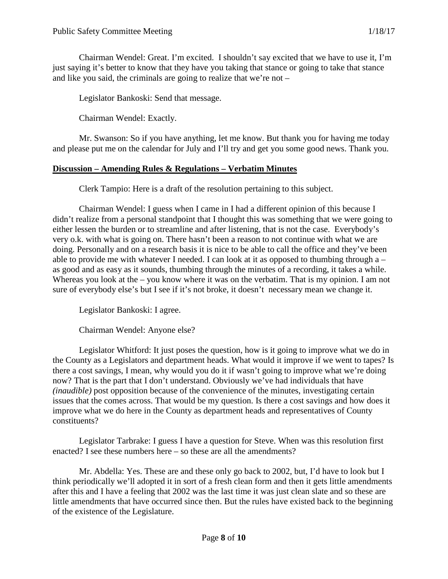Chairman Wendel: Great. I'm excited. I shouldn't say excited that we have to use it, I'm just saying it's better to know that they have you taking that stance or going to take that stance and like you said, the criminals are going to realize that we're not –

Legislator Bankoski: Send that message.

Chairman Wendel: Exactly.

Mr. Swanson: So if you have anything, let me know. But thank you for having me today and please put me on the calendar for July and I'll try and get you some good news. Thank you.

#### **Discussion – Amending Rules & Regulations – Verbatim Minutes**

Clerk Tampio: Here is a draft of the resolution pertaining to this subject.

Chairman Wendel: I guess when I came in I had a different opinion of this because I didn't realize from a personal standpoint that I thought this was something that we were going to either lessen the burden or to streamline and after listening, that is not the case. Everybody's very o.k. with what is going on. There hasn't been a reason to not continue with what we are doing. Personally and on a research basis it is nice to be able to call the office and they've been able to provide me with whatever I needed. I can look at it as opposed to thumbing through a – as good and as easy as it sounds, thumbing through the minutes of a recording, it takes a while. Whereas you look at the – you know where it was on the verbatim. That is my opinion. I am not sure of everybody else's but I see if it's not broke, it doesn't necessary mean we change it.

Legislator Bankoski: I agree.

Chairman Wendel: Anyone else?

Legislator Whitford: It just poses the question, how is it going to improve what we do in the County as a Legislators and department heads. What would it improve if we went to tapes? Is there a cost savings, I mean, why would you do it if wasn't going to improve what we're doing now? That is the part that I don't understand. Obviously we've had individuals that have *(inaudible)* post opposition because of the convenience of the minutes, investigating certain issues that the comes across. That would be my question. Is there a cost savings and how does it improve what we do here in the County as department heads and representatives of County constituents?

Legislator Tarbrake: I guess I have a question for Steve. When was this resolution first enacted? I see these numbers here – so these are all the amendments?

Mr. Abdella: Yes. These are and these only go back to 2002, but, I'd have to look but I think periodically we'll adopted it in sort of a fresh clean form and then it gets little amendments after this and I have a feeling that 2002 was the last time it was just clean slate and so these are little amendments that have occurred since then. But the rules have existed back to the beginning of the existence of the Legislature.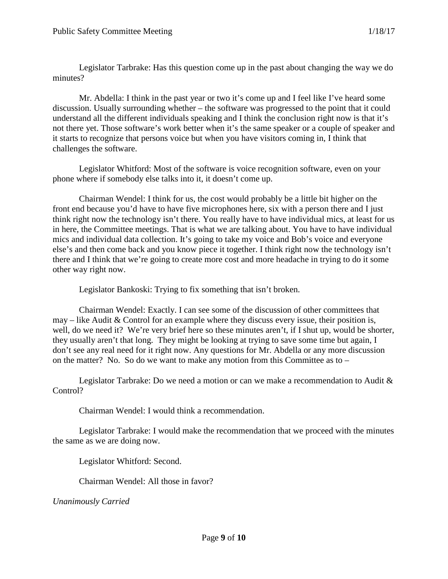Legislator Tarbrake: Has this question come up in the past about changing the way we do minutes?

Mr. Abdella: I think in the past year or two it's come up and I feel like I've heard some discussion. Usually surrounding whether – the software was progressed to the point that it could understand all the different individuals speaking and I think the conclusion right now is that it's not there yet. Those software's work better when it's the same speaker or a couple of speaker and it starts to recognize that persons voice but when you have visitors coming in, I think that challenges the software.

Legislator Whitford: Most of the software is voice recognition software, even on your phone where if somebody else talks into it, it doesn't come up.

Chairman Wendel: I think for us, the cost would probably be a little bit higher on the front end because you'd have to have five microphones here, six with a person there and I just think right now the technology isn't there. You really have to have individual mics, at least for us in here, the Committee meetings. That is what we are talking about. You have to have individual mics and individual data collection. It's going to take my voice and Bob's voice and everyone else's and then come back and you know piece it together. I think right now the technology isn't there and I think that we're going to create more cost and more headache in trying to do it some other way right now.

Legislator Bankoski: Trying to fix something that isn't broken.

Chairman Wendel: Exactly. I can see some of the discussion of other committees that may – like Audit & Control for an example where they discuss every issue, their position is, well, do we need it? We're very brief here so these minutes aren't, if I shut up, would be shorter, they usually aren't that long. They might be looking at trying to save some time but again, I don't see any real need for it right now. Any questions for Mr. Abdella or any more discussion on the matter? No. So do we want to make any motion from this Committee as to –

Legislator Tarbrake: Do we need a motion or can we make a recommendation to Audit & Control?

Chairman Wendel: I would think a recommendation.

Legislator Tarbrake: I would make the recommendation that we proceed with the minutes the same as we are doing now.

Legislator Whitford: Second.

Chairman Wendel: All those in favor?

*Unanimously Carried*